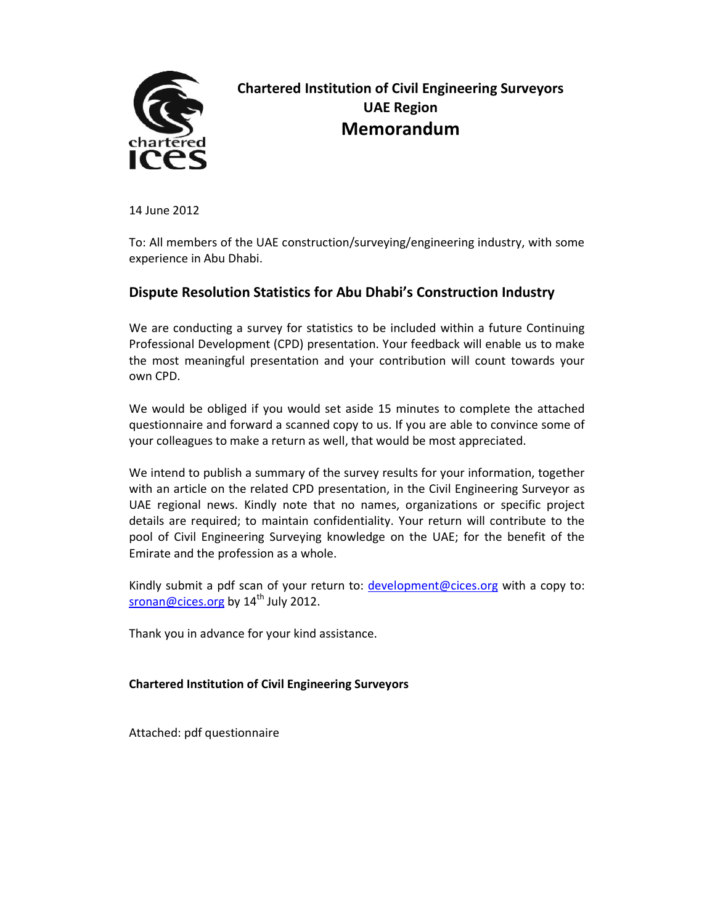

# Chartered Institution of Civil Engineering Surveyors UAE Region Memorandum

14 June 2012

To: All members of the UAE construction/surveying/engineering industry, with some experience in Abu Dhabi.

#### Dispute Resolution Statistics for Abu Dhabi's Construction Industry

We are conducting a survey for statistics to be included within a future Continuing Professional Development (CPD) presentation. Your feedback will enable us to make the most meaningful presentation and your contribution will count towards your own CPD.

We would be obliged if you would set aside 15 minutes to complete the attached questionnaire and forward a scanned copy to us. If you are able to convince some of your colleagues to make a return as well, that would be most appreciated.

We intend to publish a summary of the survey results for your information, together with an article on the related CPD presentation, in the Civil Engineering Surveyor as UAE regional news. Kindly note that no names, organizations or specific project details are required; to maintain confidentiality. Your return will contribute to the pool of Civil Engineering Surveying knowledge on the UAE; for the benefit of the Emirate and the profession as a whole.

Kindly submit a pdf scan of your return to: development@cices.org with a copy to: sronan@cices.org by  $14<sup>th</sup>$  July 2012.

Thank you in advance for your kind assistance.

#### Chartered Institution of Civil Engineering Surveyors

Attached: pdf questionnaire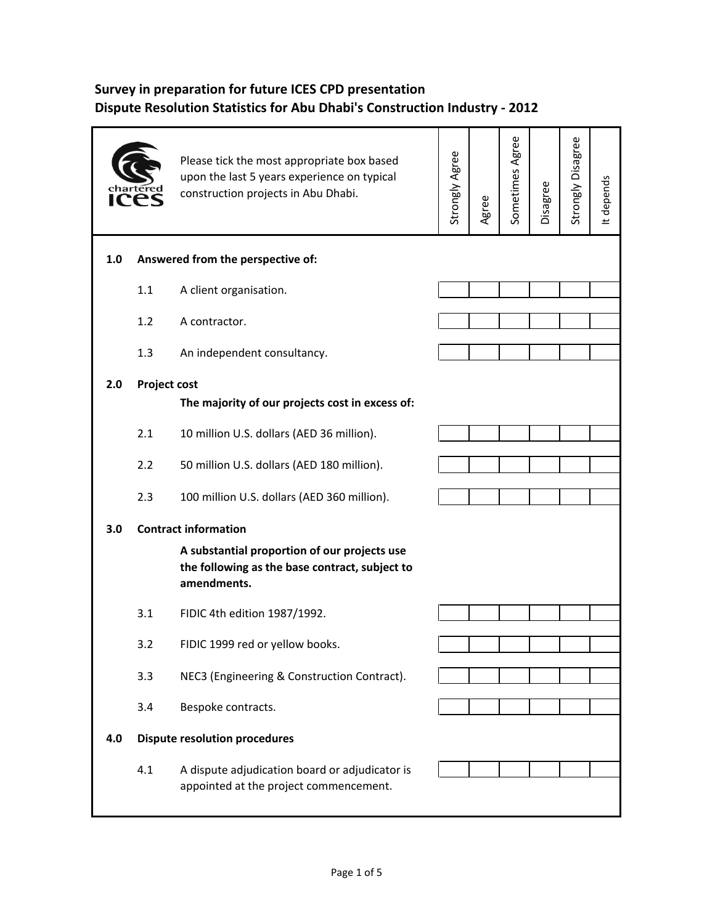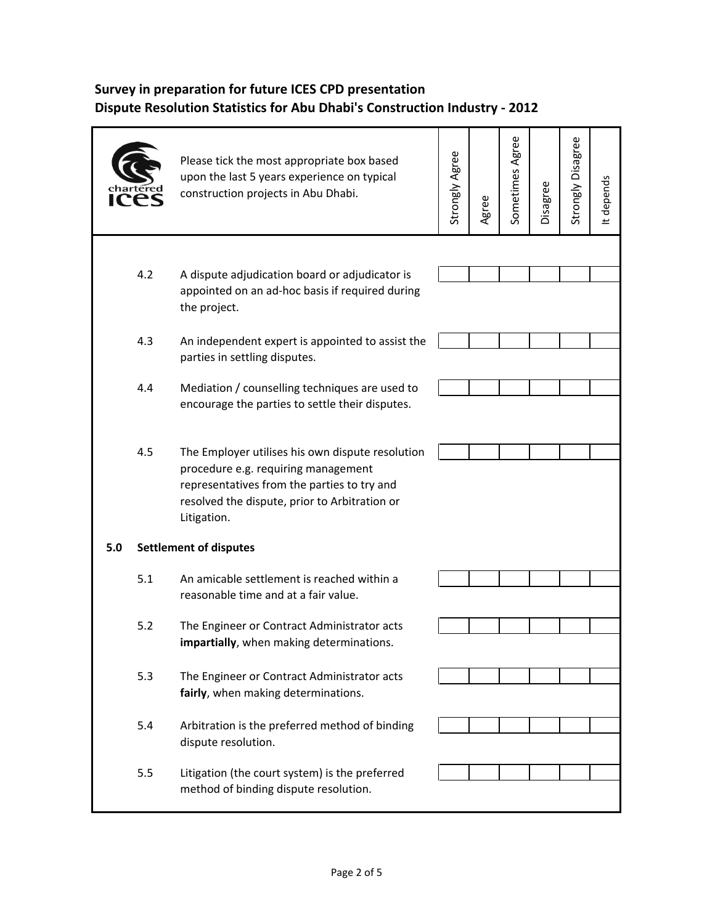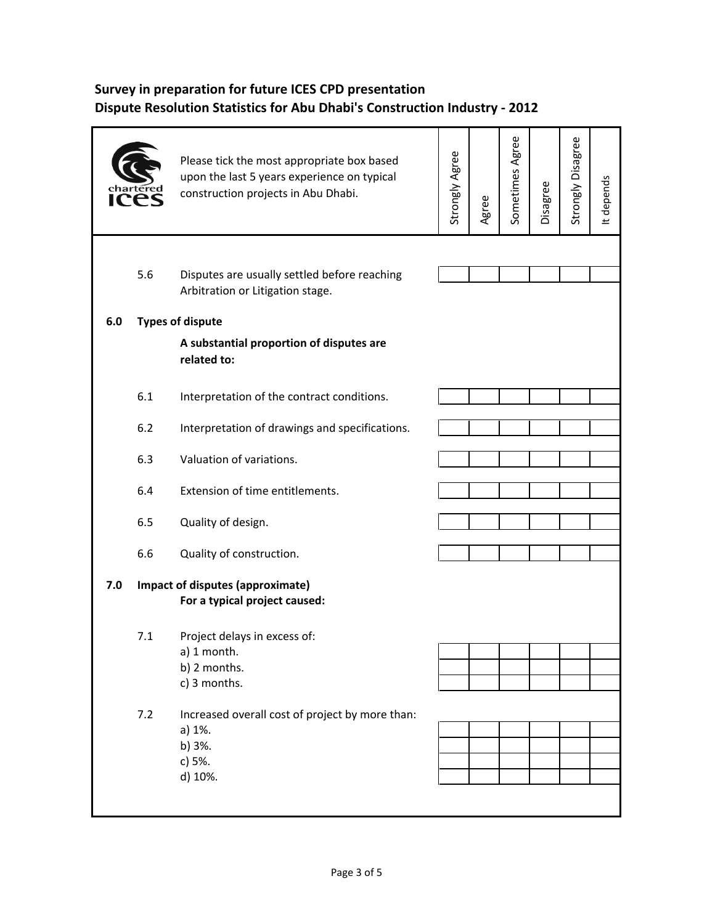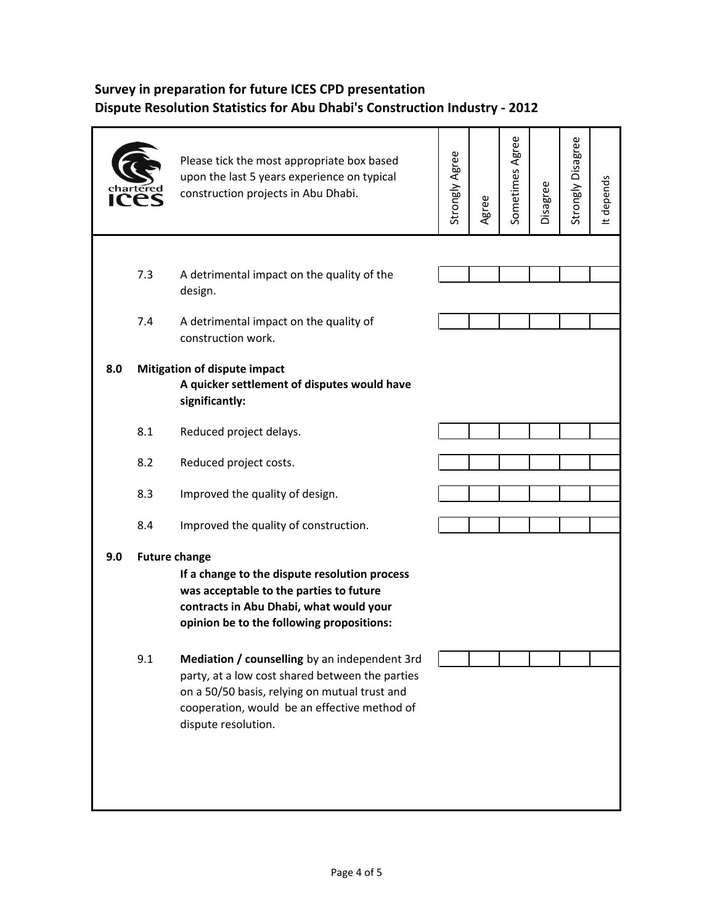